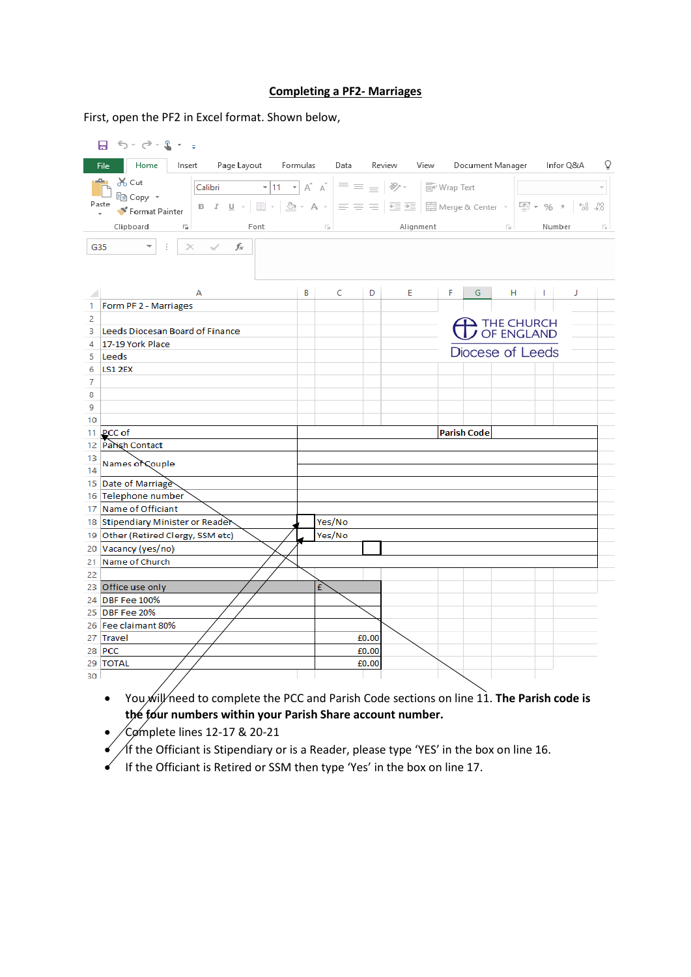## **Completing a PF2- Marriages**

First, open the PF2 in Excel format. Shown below,

|                                                                                                                                                                                                                                   | 日う・さ・エー                                                         |                  |        |        |       |                                                                                                                                                                                                                                                                                                            |  |    |                            |  |  |  |          |   |
|-----------------------------------------------------------------------------------------------------------------------------------------------------------------------------------------------------------------------------------|-----------------------------------------------------------------|------------------|--------|--------|-------|------------------------------------------------------------------------------------------------------------------------------------------------------------------------------------------------------------------------------------------------------------------------------------------------------------|--|----|----------------------------|--|--|--|----------|---|
|                                                                                                                                                                                                                                   | Home<br>Page Layout Formulas Data Review View<br>File<br>Insert |                  |        |        |       |                                                                                                                                                                                                                                                                                                            |  |    | Document Manager Infor Q&A |  |  |  |          | Ō |
| $\boxed{\text{Calibri}\qquad \qquad \text{``}\boxed{11\quad \text{''}}\ \text{A}^\text{*}\ \text{A}^\text{*}} \equiv \equiv \ \equiv \ \text{``}\ \text{\text{\%''}} \cdot \quad \boxed{\text{``}\ \text{``}}\ \text{Wrap Text}}$ |                                                                 |                  |        |        |       |                                                                                                                                                                                                                                                                                                            |  |    |                            |  |  |  |          |   |
| Paste                                                                                                                                                                                                                             |                                                                 |                  |        |        |       |                                                                                                                                                                                                                                                                                                            |  |    |                            |  |  |  |          |   |
|                                                                                                                                                                                                                                   |                                                                 |                  |        |        |       |                                                                                                                                                                                                                                                                                                            |  |    |                            |  |  |  |          |   |
| Clipboard<br>$\overline{\Gamma_{20}}$<br>Font                                                                                                                                                                                     |                                                                 |                  |        |        |       | $\boxed{a}$ and $\boxed{a}$ and $\boxed{a}$ and $\boxed{a}$ and $\boxed{a}$ and $\boxed{a}$ and $\boxed{a}$ and $\boxed{a}$ and $\boxed{a}$ and $\boxed{a}$ and $\boxed{a}$ and $\boxed{a}$ and $\boxed{a}$ and $\boxed{a}$ and $\boxed{a}$ and $\boxed{a}$ and $\boxed{a}$ and $\boxed{a}$ and $\boxed{a$ |  |    |                            |  |  |  | Number 5 |   |
| $\times$ $\checkmark$ fx<br>G35<br>$\overline{\phantom{a}}$<br>÷.                                                                                                                                                                 |                                                                 |                  |        |        |       |                                                                                                                                                                                                                                                                                                            |  |    |                            |  |  |  |          |   |
|                                                                                                                                                                                                                                   | А                                                               | B                |        | C      | D     | E                                                                                                                                                                                                                                                                                                          |  | F. | G                          |  |  |  |          |   |
| 1                                                                                                                                                                                                                                 | Form PF 2 - Marriages                                           |                  |        |        |       |                                                                                                                                                                                                                                                                                                            |  |    |                            |  |  |  |          |   |
| 2                                                                                                                                                                                                                                 |                                                                 |                  |        |        |       | THE CHURCH<br>OF ENGLAND                                                                                                                                                                                                                                                                                   |  |    |                            |  |  |  |          |   |
| 3.                                                                                                                                                                                                                                | Leeds Diocesan Board of Finance                                 |                  |        |        |       |                                                                                                                                                                                                                                                                                                            |  |    |                            |  |  |  |          |   |
| 4<br>5                                                                                                                                                                                                                            | 17-19 York Place<br>Leeds                                       | Diocese of Leeds |        |        |       |                                                                                                                                                                                                                                                                                                            |  |    |                            |  |  |  |          |   |
| 6                                                                                                                                                                                                                                 | LS1 2EX                                                         |                  |        |        |       |                                                                                                                                                                                                                                                                                                            |  |    |                            |  |  |  |          |   |
| 7                                                                                                                                                                                                                                 |                                                                 |                  |        |        |       |                                                                                                                                                                                                                                                                                                            |  |    |                            |  |  |  |          |   |
| 8                                                                                                                                                                                                                                 |                                                                 |                  |        |        |       |                                                                                                                                                                                                                                                                                                            |  |    |                            |  |  |  |          |   |
| 9                                                                                                                                                                                                                                 |                                                                 |                  |        |        |       |                                                                                                                                                                                                                                                                                                            |  |    |                            |  |  |  |          |   |
| 10                                                                                                                                                                                                                                |                                                                 |                  |        |        |       |                                                                                                                                                                                                                                                                                                            |  |    |                            |  |  |  |          |   |
|                                                                                                                                                                                                                                   | 11 PCC of                                                       |                  |        |        |       |                                                                                                                                                                                                                                                                                                            |  |    | <b>Parish Code</b>         |  |  |  |          |   |
|                                                                                                                                                                                                                                   | 12 Parish Contact                                               |                  |        |        |       |                                                                                                                                                                                                                                                                                                            |  |    |                            |  |  |  |          |   |
| 13<br>14                                                                                                                                                                                                                          | Names of Couple                                                 |                  |        |        |       |                                                                                                                                                                                                                                                                                                            |  |    |                            |  |  |  |          |   |
|                                                                                                                                                                                                                                   | 15 Date of Marriage                                             |                  |        |        |       |                                                                                                                                                                                                                                                                                                            |  |    |                            |  |  |  |          |   |
|                                                                                                                                                                                                                                   | 16 Telephone number                                             |                  |        |        |       |                                                                                                                                                                                                                                                                                                            |  |    |                            |  |  |  |          |   |
|                                                                                                                                                                                                                                   | 17 Name of Officiant                                            |                  |        |        |       |                                                                                                                                                                                                                                                                                                            |  |    |                            |  |  |  |          |   |
|                                                                                                                                                                                                                                   | 18 Stipendiary Minister or Reader                               |                  |        | Yes/No |       |                                                                                                                                                                                                                                                                                                            |  |    |                            |  |  |  |          |   |
|                                                                                                                                                                                                                                   | 19 Other (Retired Clergy, SSM etc)                              |                  | Yes/No |        |       |                                                                                                                                                                                                                                                                                                            |  |    |                            |  |  |  |          |   |
|                                                                                                                                                                                                                                   | 20 Vacancy (yes/no)                                             |                  |        |        |       |                                                                                                                                                                                                                                                                                                            |  |    |                            |  |  |  |          |   |
|                                                                                                                                                                                                                                   | 21 Name of Church                                               |                  |        |        |       |                                                                                                                                                                                                                                                                                                            |  |    |                            |  |  |  |          |   |
| 22                                                                                                                                                                                                                                |                                                                 |                  |        |        |       |                                                                                                                                                                                                                                                                                                            |  |    |                            |  |  |  |          |   |
|                                                                                                                                                                                                                                   | 23 Office use only                                              |                  | £      |        |       |                                                                                                                                                                                                                                                                                                            |  |    |                            |  |  |  |          |   |
|                                                                                                                                                                                                                                   | 24 DBF Fee 100%<br>25 DBF Fee 20%                               |                  |        |        |       |                                                                                                                                                                                                                                                                                                            |  |    |                            |  |  |  |          |   |
|                                                                                                                                                                                                                                   | 26 Fee claimant 80%                                             |                  |        |        |       |                                                                                                                                                                                                                                                                                                            |  |    |                            |  |  |  |          |   |
|                                                                                                                                                                                                                                   | 27 Travel                                                       |                  |        |        | £0.00 |                                                                                                                                                                                                                                                                                                            |  |    |                            |  |  |  |          |   |
|                                                                                                                                                                                                                                   | 28 PCC                                                          |                  |        |        | £0.00 |                                                                                                                                                                                                                                                                                                            |  |    |                            |  |  |  |          |   |
|                                                                                                                                                                                                                                   | 29 TOTAL                                                        |                  |        |        | £0.00 |                                                                                                                                                                                                                                                                                                            |  |    |                            |  |  |  |          |   |
| 30 L                                                                                                                                                                                                                              |                                                                 |                  |        |        |       |                                                                                                                                                                                                                                                                                                            |  |    |                            |  |  |  |          |   |

- You will need to complete the PCC and Parish Code sections on line 11. **The Parish code is the four numbers within your Parish Share account number.**
- $\sqrt{C}$  mplete lines 12-17 & 20-21
- $\checkmark$  / If the Officiant is Stipendiary or is a Reader, please type 'YES' in the box on line 16.
- If the Officiant is Retired or SSM then type 'Yes' in the box on line 17.